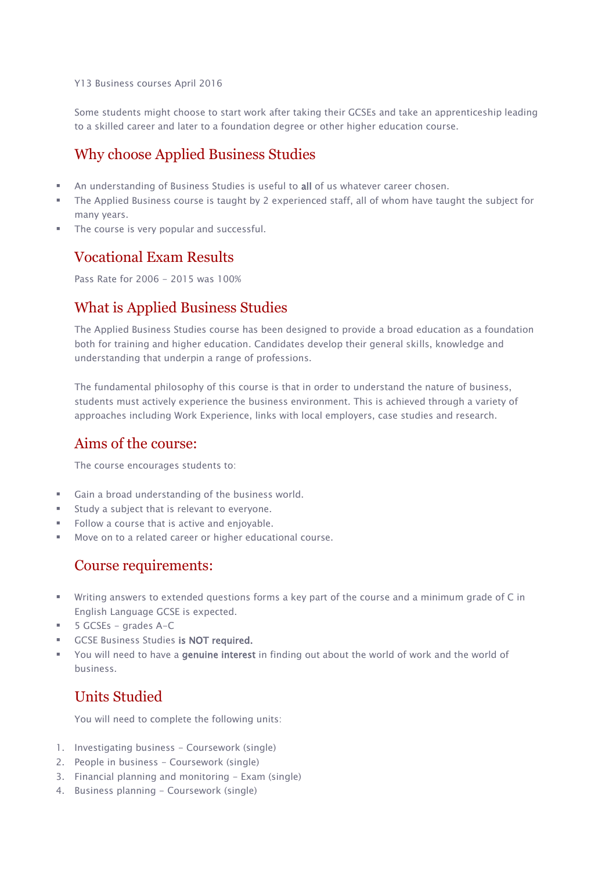Y13 Business courses April 2016

Some students might choose to start work after taking their GCSEs and take an apprenticeship leading to a skilled career and later to a foundation degree or other higher education course.

## Why choose Applied Business Studies

- An understanding of Business Studies is useful to all of us whatever career chosen.
- The Applied Business course is taught by 2 experienced staff, all of whom have taught the subject for many years.
- The course is very popular and successful.

#### Vocational Exam Results

Pass Rate for 2006 - 2015 was 100%

### What is Applied Business Studies

The Applied Business Studies course has been designed to provide a broad education as a foundation both for training and higher education. Candidates develop their general skills, knowledge and understanding that underpin a range of professions.

The fundamental philosophy of this course is that in order to understand the nature of business, students must actively experience the business environment. This is achieved through a variety of approaches including Work Experience, links with local employers, case studies and research.

### Aims of the course:

The course encourages students to:

- Gain a broad understanding of the business world.
- Study a subject that is relevant to everyone.
- Follow a course that is active and enjoyable.
- Move on to a related career or higher educational course.

#### Course requirements:

- Writing answers to extended questions forms a key part of the course and a minimum grade of C in English Language GCSE is expected.
- 5 GCSEs grades A-C
- GCSE Business Studies is NOT required.
- You will need to have a genuine interest in finding out about the world of work and the world of business.

### Units Studied

You will need to complete the following units:

- 1. Investigating business Coursework (single)
- 2. People in business Coursework (single)
- 3. Financial planning and monitoring Exam (single)
- 4. Business planning Coursework (single)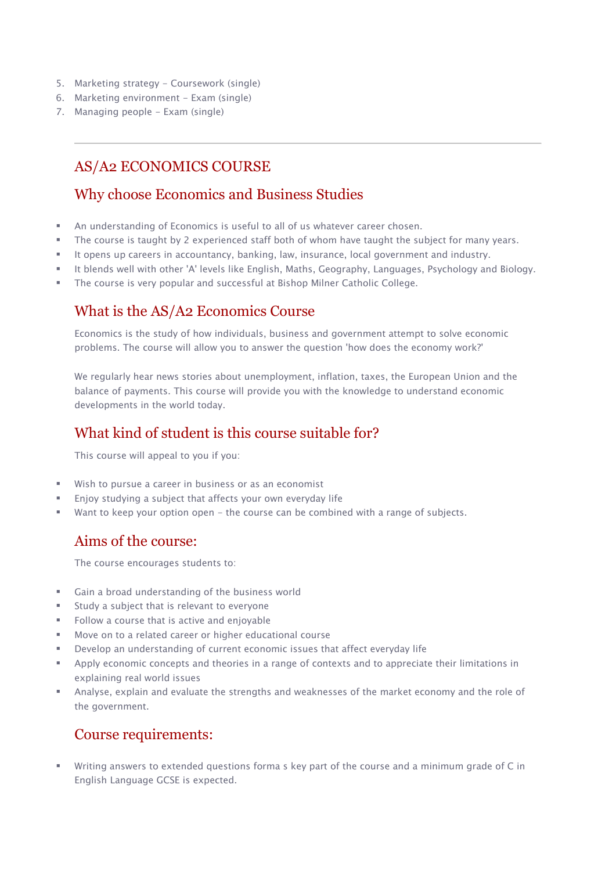- 5. Marketing strategy Coursework (single)
- 6. Marketing environment Exam (single)
- 7. Managing people Exam (single)

# AS/A2 ECONOMICS COURSE

#### Why choose Economics and Business Studies

- An understanding of Economics is useful to all of us whatever career chosen.
- **The course is taught by 2 experienced staff both of whom have taught the subject for many years.**
- It opens up careers in accountancy, banking, law, insurance, local government and industry.
- It blends well with other 'A' levels like English, Maths, Geography, Languages, Psychology and Biology.
- The course is very popular and successful at Bishop Milner Catholic College.

# What is the AS/A2 Economics Course

Economics is the study of how individuals, business and government attempt to solve economic problems. The course will allow you to answer the question 'how does the economy work?'

We regularly hear news stories about unemployment, inflation, taxes, the European Union and the balance of payments. This course will provide you with the knowledge to understand economic developments in the world today.

## What kind of student is this course suitable for?

This course will appeal to you if you:

- Wish to pursue a career in business or as an economist
- Enjoy studying a subject that affects your own everyday life
- Want to keep your option open the course can be combined with a range of subjects.

# Aims of the course:

The course encourages students to:

- Gain a broad understanding of the business world
- Study a subject that is relevant to everyone
- Follow a course that is active and enjoyable
- Move on to a related career or higher educational course
- Develop an understanding of current economic issues that affect everyday life
- Apply economic concepts and theories in a range of contexts and to appreciate their limitations in explaining real world issues
- Analyse, explain and evaluate the strengths and weaknesses of the market economy and the role of the government.

# Course requirements:

 Writing answers to extended questions forma s key part of the course and a minimum grade of C in English Language GCSE is expected.